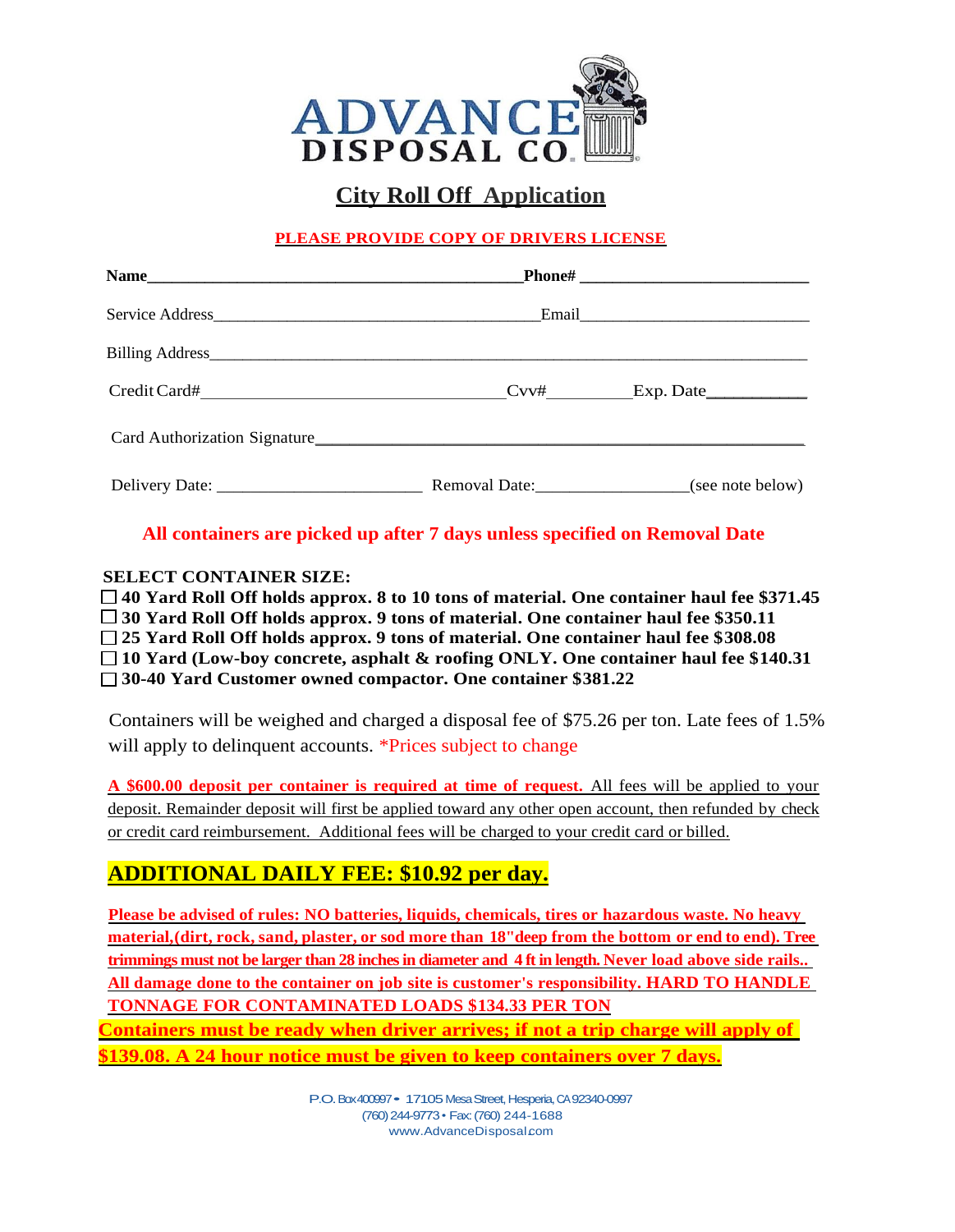

## **City Roll Off Application**

#### **PLEASE PROVIDE COPY OF DRIVERS LICENSE**

| Email |                  |
|-------|------------------|
|       |                  |
|       | $Cov#$ Exp. Date |
|       |                  |
|       |                  |

#### **All containers are picked up after 7 days unless specified on Removal Date**

#### **SELECT CONTAINER SIZE:**

 **40 Yard Roll Off holds approx. 8 to 10 tons of material. One container haul fee \$371.45 30 Yard Roll Off holds approx. 9 tons of material. One container haul fee \$350.11 25 Yard Roll Off holds approx. 9 tons of material. One container haul fee \$308.08 10 Yard (Low-boy concrete, asphalt & roofing ONLY. One container haul fee \$140.31 30-40 Yard Customer owned compactor. One container \$381.22**

Containers will be weighed and charged a disposal fee of \$75.26 per ton. Late fees of 1.5% will apply to delinquent accounts. \*Prices subject to change

**A \$600.00 deposit per container is required at time of request.** All fees will be applied to your deposit. Remainder deposit will first be applied toward any other open account, then refunded by check or credit card reimbursement. Additional fees will be charged to your credit card or billed.

## **ADDITIONAL DAILY FEE: \$10.92 per day.**

**Please be advised of rules: NO batteries, liquids, chemicals, tires or hazardous waste. No heavy material,(dirt, rock, sand, plaster, or sod more than 18"deep from the bottom or end to end). Tree trimmings must not be larger than 28 inches in diameter and 4 ft in length. Never load above side rails.. All damage done to the container on job site is customer's responsibility. HARD TO HANDLE TONNAGE FOR CONTAMINATED LOADS \$134.33 PER TON Containers must be ready when driver arrives; if not a trip charge will apply of \$139.08. A 24 hour notice must be given to keep containers over 7 days.**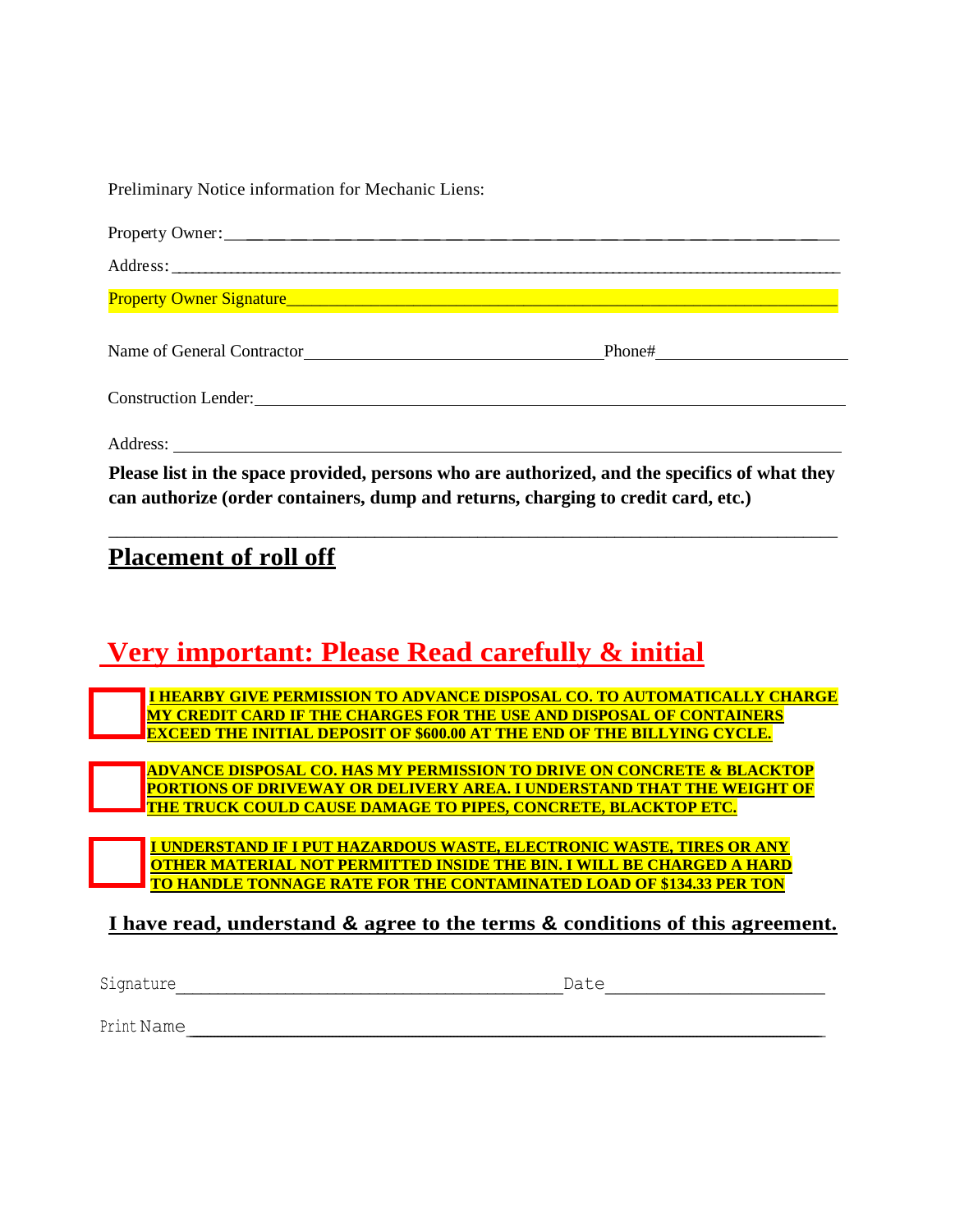| Preliminary Notice information for Mechanic Liens:                                                                                                                                 |  |
|------------------------------------------------------------------------------------------------------------------------------------------------------------------------------------|--|
|                                                                                                                                                                                    |  |
|                                                                                                                                                                                    |  |
|                                                                                                                                                                                    |  |
| Name of General Contractor                                                                                                                                                         |  |
| <b>Construction Lender:</b> <u>Construction</u> <b>Construction</b>                                                                                                                |  |
|                                                                                                                                                                                    |  |
| Please list in the space provided, persons who are authorized, and the specifics of what they<br>can authorize (order containers, dump and returns, charging to credit card, etc.) |  |

\_\_\_\_\_\_\_\_\_\_\_\_\_\_\_\_\_\_\_\_\_\_\_\_\_\_\_\_\_\_\_\_\_\_\_\_\_\_\_\_\_\_\_\_\_\_\_\_\_\_\_\_\_\_\_\_\_\_\_\_\_\_\_\_\_\_\_\_\_\_\_\_\_\_\_\_\_\_\_\_\_\_\_\_\_

## **Placement of roll off**

## **Very important: Please Read carefully & initial**

 **I HEARBY GIVE PERMISSION TO ADVANCE DISPOSAL CO. TO AUTOMATICALLY CHARGE MY CREDIT CARD IF THE CHARGES FOR THE USE AND DISPOSAL OF CONTAINERS EXCEED THE INITIAL DEPOSIT OF \$600.00 AT THE END OF THE BILLYING CYCLE.**

 **ADVANCE DISPOSAL CO. HAS MY PERMISSION TO DRIVE ON CONCRETE & BLACKTOP PORTIONS OF DRIVEWAY OR DELIVERY AREA. I UNDERSTAND THAT THE WEIGHT OF THE TRUCK COULD CAUSE DAMAGE TO PIPES, CONCRETE, BLACKTOP ETC.**

 **I UNDERSTAND IF I PUT HAZARDOUS WASTE, ELECTRONIC WASTE, TIRES OR ANY OTHER MATERIAL NOT PERMITTED INSIDE THE BIN. I WILL BE CHARGED A HARD TO HANDLE TONNAGE RATE FOR THE CONTAMINATED LOAD OF \$134.33 PER TON**

### **I have read, understand & agree to the terms & conditions of this agreement.**

Signature\_\_\_\_\_\_\_\_\_\_\_\_\_\_\_\_\_\_\_\_\_\_\_\_\_\_\_\_\_\_\_\_\_\_\_\_\_\_\_\_\_\_\_\_\_\_Date\_\_\_\_\_\_\_\_\_\_\_\_\_\_\_\_\_\_\_\_\_

Print Name